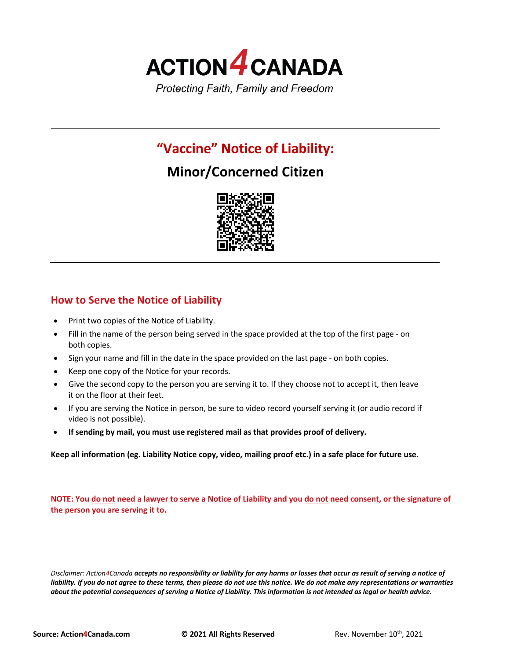

# **"Vaccine" Notice of Liability:**

# **Minor/Concerned Citizen**



## **How to Serve the Notice of Liability**

- Print two copies of the Notice of Liability.
- Fill in the name of the person being served in the space provided at the top of the first page on both copies.
- Sign your name and fill in the date in the space provided on the last page on both copies.
- Keep one copy of the Notice for your records.
- Give the second copy to the person you are serving it to. If they choose not to accept it, then leave it on the floor at their feet.
- If you are serving the Notice in person, be sure to video record yourself serving it (or audio record if video is not possible).
- **If sending by mail, you must use registered mail as that provides proof of delivery.**

**Keep all information (eg. Liability Notice copy, video, mailing proof etc.) in a safe place for future use.**

**NOTE: You do not need a lawyer to serve a Notice of Liability and you do not need consent, or the signature of the person you are serving it to.**

*Disclaimer: Action4Canada accepts no responsibility or liability for any harms or losses that occur as result of serving a notice of liability. If you do not agree to these terms, then please do not use this notice. We do not make any representations or warranties about the potential consequences of serving a Notice of Liability. This information is not intended as legal or health advice.*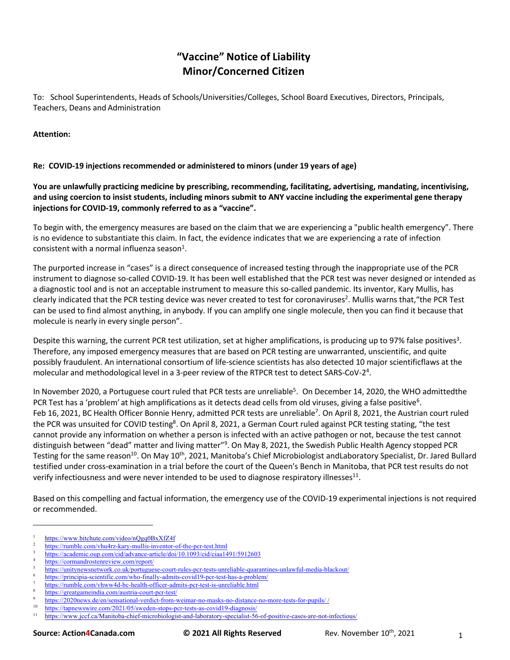# **"Vaccine" Notice of Liability Minor/Concerned Citizen**

To: School Superintendents, Heads of Schools/Universities/Colleges, School Board Executives, Directors, Principals, Teachers, Deans and Administration

#### **Attention:**

#### **Re: COVID-19 injections recommended or administered to minors (under 19 years of age)**

**You are unlawfully practicing medicine by prescribing, recommending, facilitating, advertising, mandating, incentivising, and using coercion to insist students, including minors submit to ANY vaccine including the experimental gene therapy injections for COVID-19, commonly referred to as a "vaccine".**

To begin with, the emergency measures are based on the claim that we are experiencing a "public health emergency". There is no evidence to substantiate this claim. In fact, the evidence indicates that we are experiencing a rate of infection consistent with a normal influenza season $<sup>1</sup>$ .</sup>

The purported increase in "cases" is a direct consequence of increased testing through the inappropriate use of the PCR instrument to diagnose so-called COVID-19. It has been well established that the PCR test was never designed or intended as a diagnostic tool and is not an acceptable instrument to measure this so-called pandemic. Its inventor, Kary Mullis, has clearly indicated that the PCR testing device was never created to test for coronaviruses<sup>2</sup>. Mullis warns that, "the PCR Test can be used to find almost anything, in anybody. If you can amplify one single molecule, then you can find it because that molecule is nearly in every single person".

Despite this warning, the current PCR test utilization, set at higher amplifications, is producing up to 97% false positives<sup>3</sup>. Therefore, any imposed emergency measures that are based on PCR testing are unwarranted, unscientific, and quite possibly fraudulent. An international consortium of life-science scientists has also detected 10 major scientificflaws at the molecular and methodological level in a 3-peer review of the RTPCR test to detect SARS-CoV-2<sup>4</sup>.

In November 2020, a Portuguese court ruled that PCR tests are unreliable<sup>5</sup>. On December 14, 2020, the WHO admittedthe PCR Test has a 'problem' at high amplifications as it detects dead cells from old viruses, giving a false positive<sup>6</sup>. Feb 16, 2021, BC Health Officer Bonnie Henry, admitted PCR tests are unreliable<sup>7</sup>. On April 8, 2021, the Austrian court ruled the PCR was unsuited for COVID testing<sup>8</sup>. On April 8, 2021, a German Court ruled against PCR testing stating, "the test cannot provide any information on whether a person is infected with an active pathogen or not, because the test cannot distinguish between "dead" matter and living matter"<sup>9</sup>. On May 8, 2021, the Swedish Public Health Agency stopped PCR Testing for the same reason<sup>10</sup>. On May 10<sup>th</sup>, 2021, Manitoba's Chief Microbiologist andLaboratory Specialist, Dr. Jared Bullard testified under cross-examination in a trial before the court of the Queen's Bench in Manitoba, that PCR test results do not verify infectiousness and were never intended to be used to diagnose respiratory illnesses $11$ .

Based on this compelling and factual information, the emergency use of the COVID-19 experimental injections is not required or recommended.

https://www.bitchute.com/video/nQgq0BxXfZ4f

<sup>2</sup> https://rumble.com/vhu4rz-kary-mullis-inventor-of-the-pcr-test.html

https://academic.oup.com/cid/advance-article/doi/10.1093/cid/ciaa1491/5912603

https://cormandrostenreview.com/report/

<sup>5</sup> https://unitynewsnetwork.co.uk/portuguese-court-rules-pcr-tests-unreliable-quarantines-unlawful-media-blackout/

https://principia-scientific.com/who-finally-admits-covid19-pcr-test-has-a-problem/

https://rumble.com/vhww4d-bc-health-officer-admits-pcr-test-is-unreliable.html

<sup>8</sup> https://greatgameindia.com/austria-court-pcr-test/

<sup>9</sup> https://2020news.de/en/sensational-verdict-from-weimar-no-masks-no-distance-no-more-tests-for-pupils/ /

 $10$  https://tapnewswire.com/2021/05/sweden-stops-pcr-tests-as-covid19-diagnosis/<br> $11$  https://www.jccf.ca/Manitoba-chief-microbiologist-and-laboratory-specialist-56

<sup>11</sup> https://www.jccf.ca/Manitoba-chief-microbiologist-and-laboratory-specialist-56-of-positive-cases-are-not-infectious/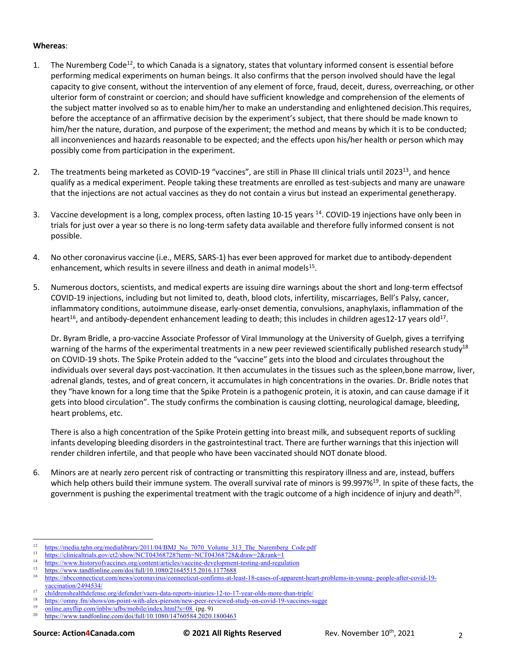#### **Whereas**:

- 1. The Nuremberg Code<sup>12</sup>, to which Canada is a signatory, states that voluntary informed consent is essential before performing medical experiments on human beings. It also confirms that the person involved should have the legal capacity to give consent, without the intervention of any element of force, fraud, deceit, duress, overreaching, or other ulterior form of constraint or coercion; and should have sufficient knowledge and comprehension of the elements of the subject matter involved so as to enable him/her to make an understanding and enlightened decision.This requires, before the acceptance of an affirmative decision by the experiment's subject, that there should be made known to him/her the nature, duration, and purpose of the experiment; the method and means by which it is to be conducted; all inconveniences and hazards reasonable to be expected; and the effects upon his/her health or person which may possibly come from participation in the experiment.
- 2. The treatments being marketed as COVID-19 "vaccines", are still in Phase III clinical trials until 2023<sup>13</sup>, and hence qualify as a medical experiment. People taking these treatments are enrolled as test-subjects and many are unaware that the injections are not actual vaccines as they do not contain a virus but instead an experimental genetherapy.
- 3. Vaccine development is a long, complex process, often lasting 10-15 years <sup>14</sup>. COVID-19 injections have only been in trials for just over a year so there is no long-term safety data available and therefore fully informed consent is not possible.
- 4. No other coronavirus vaccine (i.e., MERS, SARS-1) has ever been approved for market due to antibody-dependent enhancement, which results in severe illness and death in animal models<sup>15</sup>.
- 5. Numerous doctors, scientists, and medical experts are issuing dire warnings about the short and long-term effectsof COVID-19 injections, including but not limited to, death, blood clots, infertility, miscarriages, Bell's Palsy, cancer, inflammatory conditions, autoimmune disease, early-onset dementia, convulsions, anaphylaxis, inflammation of the heart<sup>16</sup>, and antibody-dependent enhancement leading to death; this includes in children ages12-17 years old<sup>17</sup>.

Dr. Byram Bridle, a pro-vaccine Associate Professor of Viral Immunology at the University of Guelph, gives a terrifying warning of the harms of the experimental treatments in a new peer reviewed scientifically published research study<sup>18</sup> on COVID-19 shots. The Spike Protein added to the "vaccine" gets into the blood and circulates throughout the individuals over several days post-vaccination. It then accumulates in the tissues such as the spleen,bone marrow, liver, adrenal glands, testes, and of great concern, it accumulates in high concentrations in the ovaries. Dr. Bridle notes that they "have known for a long time that the Spike Protein is a pathogenic protein, it is atoxin, and can cause damage if it gets into blood circulation". The study confirms the combination is causing clotting, neurological damage, bleeding, heart problems, etc.

There is also a high concentration of the Spike Protein getting into breast milk, and subsequent reports of suckling infants developing bleeding disorders in the gastrointestinal tract. There are further warnings that this injection will render children infertile, and that people who have been vaccinated should NOT donate blood.

6. Minors are at nearly zero percent risk of contracting or transmitting this respiratory illness and are, instead, buffers which help others build their immune system. The overall survival rate of minors is 99.997%<sup>19</sup>. In spite of these facts, the government is pushing the experimental treatment with the tragic outcome of a high incidence of injury and death<sup>20</sup>.

<sup>&</sup>lt;sup>12</sup> https://media.tghn.org/medialibrary/2011/04/BMJ\_No\_7070\_Volume\_313\_The\_Nuremberg\_Code.pdf<br>13 https://thisis.thisis.thisis.com/2014/01/brane NCT042697994...........NCT04269799.e. Jacques 2.e.u.l. 1

 $13$  https://clinicaltrials.gov/ct2/show/NCT04368728?term=NCT04368728&draw=2&rank=1

<sup>&</sup>lt;sup>14</sup> https://www.historyofvaccines.org/content/articles/vaccine-development-testing-and-regulation<br><sup>15</sup> https://www.teadfanline.com/dei/6:11/10,1090/01645515,2016,1177699

<sup>&</sup>lt;sup>15</sup> https://www.tandfonline.com/doi/full/10.1080/21645515.2016.1177688

<sup>16</sup> https://nbcconnecticut.com/news/coronavirus/connecticut-confirms-at-least-18-cases-of-apparent-heart-problems-in-young- people-after-covid-19 vaccination/2494534/

<sup>&</sup>lt;sup>17</sup> childrenshealthdefense.org/defender/vaers-data-reports-injuries-12-to-17-year-olds-more-than-triple/

<sup>&</sup>lt;sup>18</sup> https://omny.fm/shows/on-point-with-alex-pierson/new-peer-reviewed-study-on-covid-19-vaccines-sugge<br> $\frac{19}{2}$  enline env(flip com/inblu/utbe/mobile/index-html?a=08\_(ne 0)

 $\frac{19}{20}$  online.anyflip.com/inblw/ufbs/mobile/index.html?s=08 (pg. 9)<br>ttps://www.tondfonline.com/doi/full/10.1080/14760584.2020.

https://www.tandfonline.com/doi/full/10.1080/14760584.2020.1800463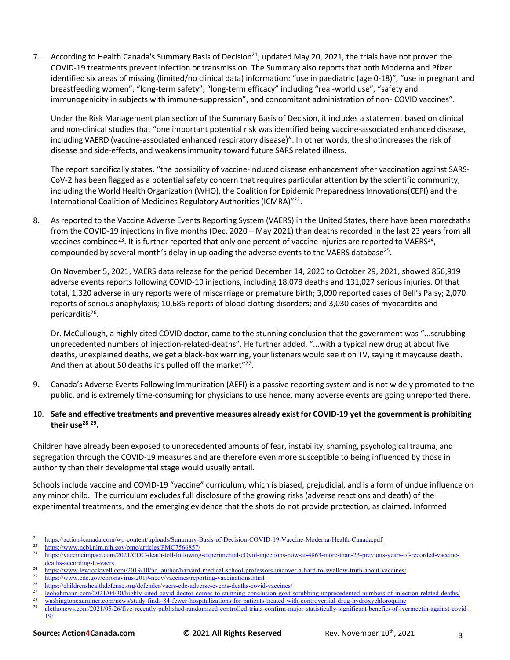7. According to Health Canada's Summary Basis of Decision<sup>21</sup>, updated May 20, 2021, the trials have not proven the COVID-19 treatments prevent infection or transmission. The Summary also reports that both Moderna and Pfizer identified six areas of missing (limited/no clinical data) information: "use in paediatric (age 0-18)", "use in pregnant and breastfeeding women", "long-term safety", "long-term efficacy" including "real-world use", "safety and immunogenicity in subjects with immune-suppression", and concomitant administration of non- COVID vaccines".

Under the Risk Management plan section of the Summary Basis of Decision, it includes a statement based on clinical and non-clinical studies that "one important potential risk was identified being vaccine-associated enhanced disease, including VAERD (vaccine-associated enhanced respiratory disease)". In other words, the shotincreases the risk of disease and side-effects, and weakens immunity toward future SARS related illness.

The report specifically states, "the possibility of vaccine-induced disease enhancement after vaccination against SARS-CoV-2 has been flagged as a potential safety concern that requires particular attention by the scientific community, including the World Health Organization (WHO), the Coalition for Epidemic Preparedness Innovations(CEPI) and the International Coalition of Medicines Regulatory Authorities (ICMRA)"22.

8. As reported to the Vaccine Adverse Events Reporting System (VAERS) in the United States, there have been moredeaths from the COVID-19 injections in five months (Dec. 2020 – May 2021) than deaths recorded in the last 23 years from all vaccines combined<sup>23</sup>. It is further reported that only one percent of vaccine injuries are reported to VAERS<sup>24</sup>, compounded by several month's delay in uploading the adverse events to the VAERS database<sup>25</sup>.

On November 5, 2021, VAERS data release for the period December 14, 2020 to October 29, 2021, showed 856,919 adverse events reports following COVID-19 injections, including 18,078 deaths and 131,027 serious injuries. Of that total, 1,320 adverse injury reports were of miscarriage or premature birth; 3,090 reported cases of Bell's Palsy; 2,070 reports of serious anaphylaxis; 10,686 reports of blood clotting disorders; and 3,030 cases of myocarditis and pericarditis<sup>26</sup>.

Dr. McCullough, a highly cited COVID doctor, came to the stunning conclusion that the government was "...scrubbing unprecedented numbers of injection-related-deaths". He further added, "...with a typical new drug at about five deaths, unexplained deaths, we get a black-box warning, your listeners would see it on TV, saying it maycause death. And then at about 50 deaths it's pulled off the market"<sup>27</sup>.

- 9. Canada's Adverse Events Following Immunization (AEFI) is a passive reporting system and is not widely promoted to the public, and is extremely time-consuming for physicians to use hence, many adverse events are going unreported there.
- 10. **Safe and effective treatments and preventive measures already exist for COVID-19 yet the government is prohibiting their use28 29.**

Children have already been exposed to unprecedented amounts of fear, instability, shaming, psychological trauma, and segregation through the COVID-19 measures and are therefore even more susceptible to being influenced by those in authority than their developmental stage would usually entail.

Schools include vaccine and COVID-19 "vaccine" curriculum, which is biased, prejudicial, and is a form of undue influence on any minor child. The curriculum excludes full disclosure of the growing risks (adverse reactions and death) of the experimental treatments, and the emerging evidence that the shots do not provide protection, as claimed. Informed

<sup>26</sup> https://childrenshealthdefense.org/defender/vaers-cdc-adverse-events-deaths-covid-vaccines/<br><sup>27</sup> herbehmens eem/2021/04/20/highly eited eevid deater eemes to stuming eerelyien gevt

<sup>&</sup>lt;sup>21</sup> https://action4canada.com/wp-content/uploads/Summary-Basis-of-Decision-COVID-19-Vaccine-Moderna-Health-Canada.pdf <br><sup>22</sup> https://www.ncbi.nlm.nih.gov/pmc/articles/PMC7566857/<br><sup>23</sup> https://www.ncbi.nlm.nih.gov/pmc/arti

<sup>23</sup> https://vaccineimpact.com/2021/CDC-death-toll-following-experimental-cOvid-injections-now-at-4863-more-than-23-previous-years-of-recorded-vaccinedeaths-according-to-vaers

<sup>&</sup>lt;sup>24</sup> https://www.lewrockwell.com/2019/10/no\_author/harvard-medical-school-professors-uncover-a-hard-to-swallow-truth-about-vaccines/<br><sup>25</sup> https://www.lewrockwell.com/2019/10/no-author/insegnative gravitations http://

 $^{25}$  https://www.cdc.gov/coronavirus/2019-ncov/vaccines/reporting-vaccinations.html<br> $^{26}$  https://skildranskaaltkdafansa.gov/dafandan/vaccines/reporting-vaccinations.html

<sup>&</sup>lt;sup>27</sup> leohohmann.com/2021/04/30/highly-cited-covid-doctor-comes-to-stunning-conclusion-govt-scrubbing-unprecedented-numbers-of-injection-related-deaths/<br><sup>28</sup> legislation-related-deaths/

<sup>&</sup>lt;sup>28</sup> washingtonexaminer.com/news/study-finds-84-fewer-hospitalizations-for-patients-treated-with-controversial-drug-hydroxychloroquine<br><sup>29</sup> elethonows com/2021/05/26/fsys recently published prodomized controlled trials con

alethonews.com/2021/05/26/five-recently-published-randomized-controlled-trials-confirm-major-statistically-significant-benefits-of-ivermectin-against-covid-19/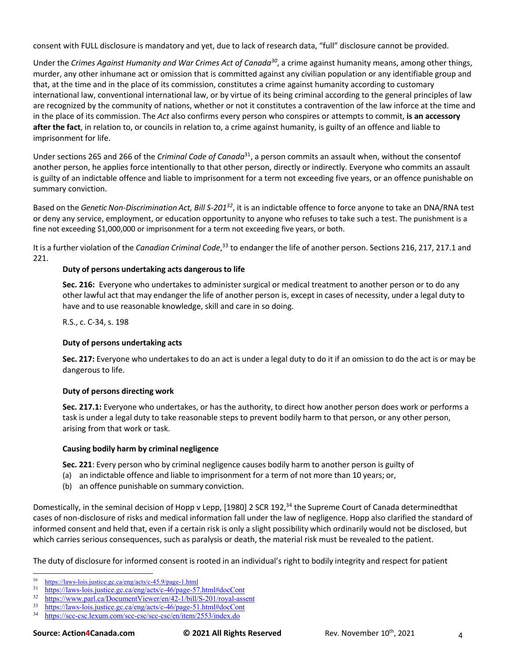consent with FULL disclosure is mandatory and yet, due to lack of research data, "full" disclosure cannot be provided.

Under the *Crimes Against Humanity and War Crimes Act of Canada30*, a crime against humanity means, among other things, murder, any other inhumane act or omission that is committed against any civilian population or any identifiable group and that, at the time and in the place of its commission, constitutes a crime against humanity according to customary international law, conventional international law, or by virtue of its being criminal according to the general principles of law are recognized by the community of nations, whether or not it constitutes a contravention of the law inforce at the time and in the place of its commission. The *Act* also confirms every person who conspires or attempts to commit, **is an accessory after the fact**, in relation to, or councils in relation to, a crime against humanity, is guilty of an offence and liable to imprisonment for life.

Under sections 265 and 266 of the *Criminal Code of Canada*31, a person commits an assault when, without the consentof another person, he applies force intentionally to that other person, directly or indirectly. Everyone who commits an assault is guilty of an indictable offence and liable to imprisonment for a term not exceeding five years, or an offence punishable on summary conviction.

Based on the *Genetic Non-Discrimination Act, Bill S-20132*, it is an indictable offence to force anyone to take an DNA/RNA test or deny any service, employment, or education opportunity to anyone who refuses to take such a test. The punishment is a fine not exceeding \$1,000,000 or imprisonment for a term not exceeding five years, or both.

It is a further violation of the *Canadian Criminal Code*,<sup>33</sup> to endanger the life of another person. Sections 216, 217, 217.1 and 221.

## **Duty of persons undertaking acts dangerous to life**

**Sec. 216:** Everyone who undertakes to administer surgical or medical treatment to another person or to do any other lawful act that may endanger the life of another person is, except in cases of necessity, under a legal duty to have and to use reasonable knowledge, skill and care in so doing.

R.S., c. C-34, s. 198

### **Duty of persons undertaking acts**

**Sec. 217:** Everyone who undertakes to do an act is under a legal duty to do it if an omission to do the act is or may be dangerous to life.

### **Duty of persons directing work**

**Sec. 217.1:** Everyone who undertakes, or has the authority, to direct how another person does work or performs a task is under a legal duty to take reasonable steps to prevent bodily harm to that person, or any other person, arising from that work or task.

#### **Causing bodily harm by criminal negligence**

**Sec. 221**: Every person who by criminal negligence causes bodily harm to another person is guilty of

- (a) an indictable offence and liable to imprisonment for a term of not more than 10 years; or,
- (b) an offence punishable on summary conviction.

Domestically, in the seminal decision of Hopp v Lepp, [1980] 2 SCR 192,<sup>34</sup> the Supreme Court of Canada determinedthat cases of non-disclosure of risks and medical information fall under the law of negligence. Hopp also clarified the standard of informed consent and held that, even if a certain risk is only a slight possibility which ordinarily would not be disclosed, but which carries serious consequences, such as paralysis or death, the material risk must be revealed to the patient.

The duty of disclosure for informed consent is rooted in an individual's right to bodily integrity and respect for patient

 $\frac{30}{\text{https://laws-lois.justice.gc.ca/eng/acts/c-45.9/page-1.htm}}$ <br>31 https://laws-lois.justice.gc.ca/eng/acts/c-46/page-57

https://laws-lois.justice.gc.ca/eng/acts/c-46/page-57.html#docCont

<sup>32</sup> https://www.parl.ca/DocumentViewer/en/42-1/bill/S-201/royal-assent

 $\frac{33}{\text{https://laws-lois.justice.gc.ca/eng/acts/c-46/page-51.html\#docCont}}$ <br> $\frac{34}{\text{https://sec.csclaxum.com/sec.csc/sec.csc/an/item/2553/index do}}$ 

https://scc-csc.lexum.com/scc-csc/scc-csc/en/item/2553/index.do